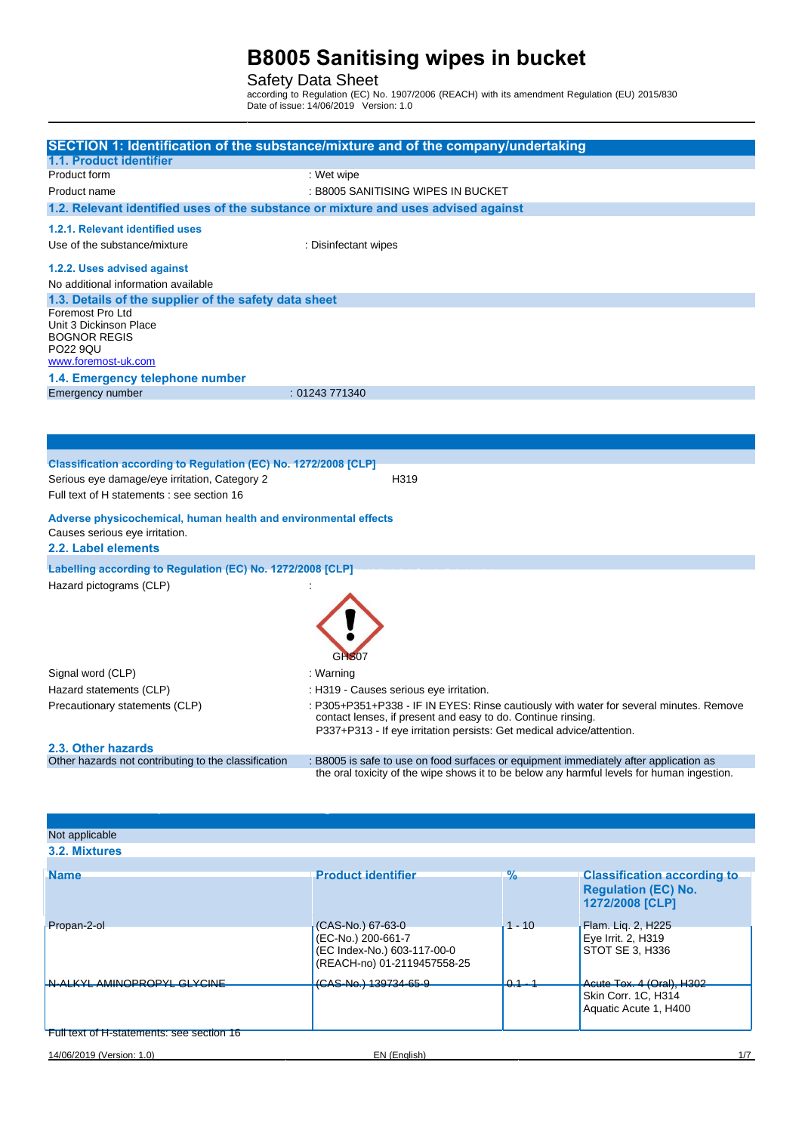## **B8005 Sanitising wipes in bucket**

### Safety Data Sheet

according to Regulation (EC) No. 1907/2006 (REACH) with its amendment Regulation (EU) 2015/830 Date of issue: 14/06/2019 Version: 1.0

| SECTION 1: Identification of the substance/mixture and of the company/undertaking                                                                              |                                                                                                                                                                                                                                 |          |                                                                                     |
|----------------------------------------------------------------------------------------------------------------------------------------------------------------|---------------------------------------------------------------------------------------------------------------------------------------------------------------------------------------------------------------------------------|----------|-------------------------------------------------------------------------------------|
| 1.1. Product identifier                                                                                                                                        |                                                                                                                                                                                                                                 |          |                                                                                     |
| Product form                                                                                                                                                   | : Wet wipe                                                                                                                                                                                                                      |          |                                                                                     |
| Product name                                                                                                                                                   | : B8005 SANITISING WIPES IN BUCKET                                                                                                                                                                                              |          |                                                                                     |
| 1.2. Relevant identified uses of the substance or mixture and uses advised against                                                                             |                                                                                                                                                                                                                                 |          |                                                                                     |
| 1.2.1. Relevant identified uses                                                                                                                                |                                                                                                                                                                                                                                 |          |                                                                                     |
| Use of the substance/mixture                                                                                                                                   | : Disinfectant wipes                                                                                                                                                                                                            |          |                                                                                     |
| 1.2.2. Uses advised against                                                                                                                                    |                                                                                                                                                                                                                                 |          |                                                                                     |
| No additional information available                                                                                                                            |                                                                                                                                                                                                                                 |          |                                                                                     |
| 1.3. Details of the supplier of the safety data sheet                                                                                                          |                                                                                                                                                                                                                                 |          |                                                                                     |
| Foremost Pro Ltd<br>Unit 3 Dickinson Place<br><b>BOGNOR REGIS</b><br><b>PO22 9QU</b><br>www.foremost-uk.com                                                    |                                                                                                                                                                                                                                 |          |                                                                                     |
| 1.4. Emergency telephone number                                                                                                                                |                                                                                                                                                                                                                                 |          |                                                                                     |
| Emergency number                                                                                                                                               | : 01243 771340                                                                                                                                                                                                                  |          |                                                                                     |
|                                                                                                                                                                |                                                                                                                                                                                                                                 |          |                                                                                     |
|                                                                                                                                                                |                                                                                                                                                                                                                                 |          |                                                                                     |
|                                                                                                                                                                |                                                                                                                                                                                                                                 |          |                                                                                     |
| Classification according to Regulation (EC) No. 1272/2008 [CLP]<br>Serious eye damage/eye irritation, Category 2<br>Full text of H statements : see section 16 | H319                                                                                                                                                                                                                            |          |                                                                                     |
| Adverse physicochemical, human health and environmental effects<br>Causes serious eye irritation.<br>2.2. Label elements                                       |                                                                                                                                                                                                                                 |          |                                                                                     |
| Labelling according to Regulation (EC) No. 1272/2008 [CLP]<br>Hazard pictograms (CLP)                                                                          | GH 507                                                                                                                                                                                                                          |          |                                                                                     |
| Signal word (CLP)                                                                                                                                              | : Warning                                                                                                                                                                                                                       |          |                                                                                     |
| Hazard statements (CLP)                                                                                                                                        | : H319 - Causes serious eye irritation.                                                                                                                                                                                         |          |                                                                                     |
| Precautionary statements (CLP)                                                                                                                                 | : P305+P351+P338 - IF IN EYES: Rinse cautiously with water for several minutes. Remove<br>contact lenses, if present and easy to do. Continue rinsing.<br>P337+P313 - If eye irritation persists: Get medical advice/attention. |          |                                                                                     |
| 2.3. Other hazards<br>Other hazards not contributing to the classification                                                                                     | : B8005 is safe to use on food surfaces or equipment immediately after application as<br>the oral toxicity of the wipe shows it to be below any harmful levels for human ingestion.                                             |          |                                                                                     |
|                                                                                                                                                                |                                                                                                                                                                                                                                 |          |                                                                                     |
|                                                                                                                                                                |                                                                                                                                                                                                                                 |          |                                                                                     |
| Not applicable<br>3.2. Mixtures                                                                                                                                |                                                                                                                                                                                                                                 |          |                                                                                     |
|                                                                                                                                                                |                                                                                                                                                                                                                                 |          |                                                                                     |
| <b>Name</b>                                                                                                                                                    | <b>Product identifier</b>                                                                                                                                                                                                       | %        | <b>Classification according to</b><br><b>Regulation (EC) No.</b><br>1272/2008 [CLP] |
| Propan-2-ol                                                                                                                                                    | (CAS-No.) 67-63-0                                                                                                                                                                                                               | $1 - 10$ | Flam. Liq. 2, H225                                                                  |
|                                                                                                                                                                | (EC-No.) 200-661-7<br>(EC Index-No.) 603-117-00-0<br>(REACH-no) 01-2119457558-25                                                                                                                                                |          | Eye Irrit. 2, H319<br>STOT SE 3, H336                                               |
| N-ALKYL AMINOPROPYL GLYCINE                                                                                                                                    | (CAS-No.) 139734-65-9                                                                                                                                                                                                           | A        | Acute Tox. 4 (Oral), H302<br>Skin Corr. 1C, H314<br>Aquatic Acute 1, H400           |
| Full text of H-statements: see section 16                                                                                                                      |                                                                                                                                                                                                                                 |          |                                                                                     |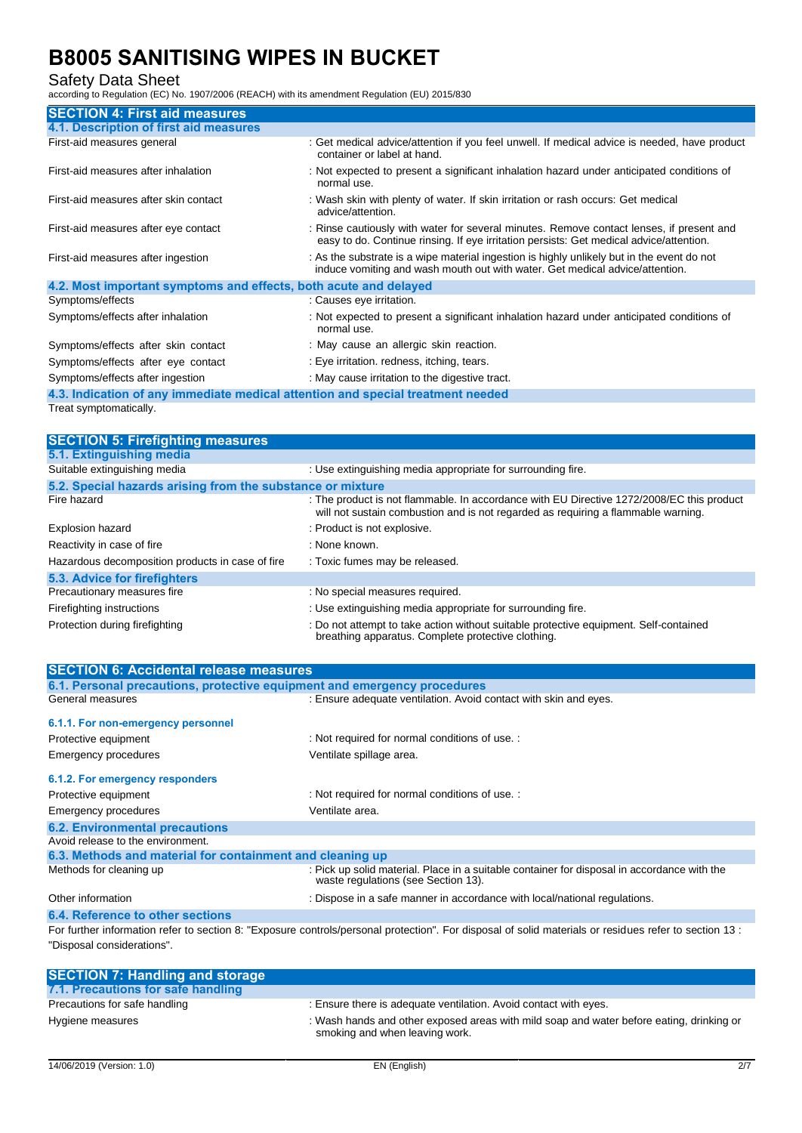### Safety Data Sheet

according to Regulation (EC) No. 1907/2006 (REACH) with its amendment Regulation (EU) 2015/830

| <b>SECTION 4: First aid measures</b>                             |                                                                                                                                                                                     |
|------------------------------------------------------------------|-------------------------------------------------------------------------------------------------------------------------------------------------------------------------------------|
| 4.1. Description of first aid measures                           |                                                                                                                                                                                     |
| First-aid measures general                                       | : Get medical advice/attention if you feel unwell. If medical advice is needed, have product<br>container or label at hand.                                                         |
| First-aid measures after inhalation                              | : Not expected to present a significant inhalation hazard under anticipated conditions of<br>normal use.                                                                            |
| First-aid measures after skin contact                            | : Wash skin with plenty of water. If skin irritation or rash occurs: Get medical<br>advice/attention.                                                                               |
| First-aid measures after eye contact                             | : Rinse cautiously with water for several minutes. Remove contact lenses, if present and<br>easy to do. Continue rinsing. If eye irritation persists: Get medical advice/attention. |
| First-aid measures after ingestion                               | : As the substrate is a wipe material ingestion is highly unlikely but in the event do not<br>induce vomiting and wash mouth out with water. Get medical advice/attention.          |
| 4.2. Most important symptoms and effects, both acute and delayed |                                                                                                                                                                                     |
| Symptoms/effects                                                 | : Causes eye irritation.                                                                                                                                                            |
| Symptoms/effects after inhalation                                | : Not expected to present a significant inhalation hazard under anticipated conditions of<br>normal use.                                                                            |
| Symptoms/effects after skin contact                              | : May cause an allergic skin reaction.                                                                                                                                              |
| Symptoms/effects after eye contact                               | : Eye irritation. redness, itching, tears.                                                                                                                                          |
| Symptoms/effects after ingestion                                 | : May cause irritation to the digestive tract.                                                                                                                                      |
|                                                                  |                                                                                                                                                                                     |

**4.3. Indication of any immediate medical attention and special treatment needed** Treat symptomatically.

| <b>SECTION 5: Firefighting measures</b>                    |                                                                                                                                                                                |
|------------------------------------------------------------|--------------------------------------------------------------------------------------------------------------------------------------------------------------------------------|
| 5.1. Extinguishing media                                   |                                                                                                                                                                                |
| Suitable extinguishing media                               | : Use extinguishing media appropriate for surrounding fire.                                                                                                                    |
| 5.2. Special hazards arising from the substance or mixture |                                                                                                                                                                                |
| Fire hazard                                                | : The product is not flammable. In accordance with EU Directive 1272/2008/EC this product<br>will not sustain combustion and is not regarded as requiring a flammable warning. |
| Explosion hazard                                           | : Product is not explosive.                                                                                                                                                    |
| Reactivity in case of fire                                 | : None known.                                                                                                                                                                  |
| Hazardous decomposition products in case of fire           | : Toxic fumes may be released.                                                                                                                                                 |
| 5.3. Advice for firefighters                               |                                                                                                                                                                                |
| Precautionary measures fire                                | : No special measures required.                                                                                                                                                |
| Firefighting instructions                                  | : Use extinguishing media appropriate for surrounding fire.                                                                                                                    |
| Protection during firefighting                             | : Do not attempt to take action without suitable protective equipment. Self-contained<br>breathing apparatus. Complete protective clothing.                                    |

| <b>SECTION 6: Accidental release measures</b>                            |                                                                                                                                                       |
|--------------------------------------------------------------------------|-------------------------------------------------------------------------------------------------------------------------------------------------------|
| 6.1. Personal precautions, protective equipment and emergency procedures |                                                                                                                                                       |
| General measures                                                         | : Ensure adequate ventilation. Avoid contact with skin and eyes.                                                                                      |
| 6.1.1. For non-emergency personnel                                       |                                                                                                                                                       |
| Protective equipment                                                     | : Not required for normal conditions of use. :                                                                                                        |
| Emergency procedures                                                     | Ventilate spillage area.                                                                                                                              |
| 6.1.2. For emergency responders                                          |                                                                                                                                                       |
| Protective equipment                                                     | : Not required for normal conditions of use. :                                                                                                        |
| Emergency procedures                                                     | Ventilate area.                                                                                                                                       |
| <b>6.2. Environmental precautions</b>                                    |                                                                                                                                                       |
| Avoid release to the environment.                                        |                                                                                                                                                       |
| 6.3. Methods and material for containment and cleaning up                |                                                                                                                                                       |
| Methods for cleaning up                                                  | : Pick up solid material. Place in a suitable container for disposal in accordance with the<br>waste regulations (see Section 13).                    |
| Other information                                                        | : Dispose in a safe manner in accordance with local/national regulations.                                                                             |
| 6.4. Reference to other sections                                         |                                                                                                                                                       |
|                                                                          | For further information refer to section 8: "Exposure controls/personal protection". For disposal of solid materials or residues refer to section 13: |
| "Disposal considerations".                                               |                                                                                                                                                       |

| <b>SECTION 7: Handling and storage</b> |                                                                                                                            |
|----------------------------------------|----------------------------------------------------------------------------------------------------------------------------|
| 7.1. Precautions for safe handling     |                                                                                                                            |
| Precautions for safe handling          | : Ensure there is adequate ventilation. Avoid contact with eyes.                                                           |
| Hygiene measures                       | : Wash hands and other exposed areas with mild soap and water before eating, drinking or<br>smoking and when leaving work. |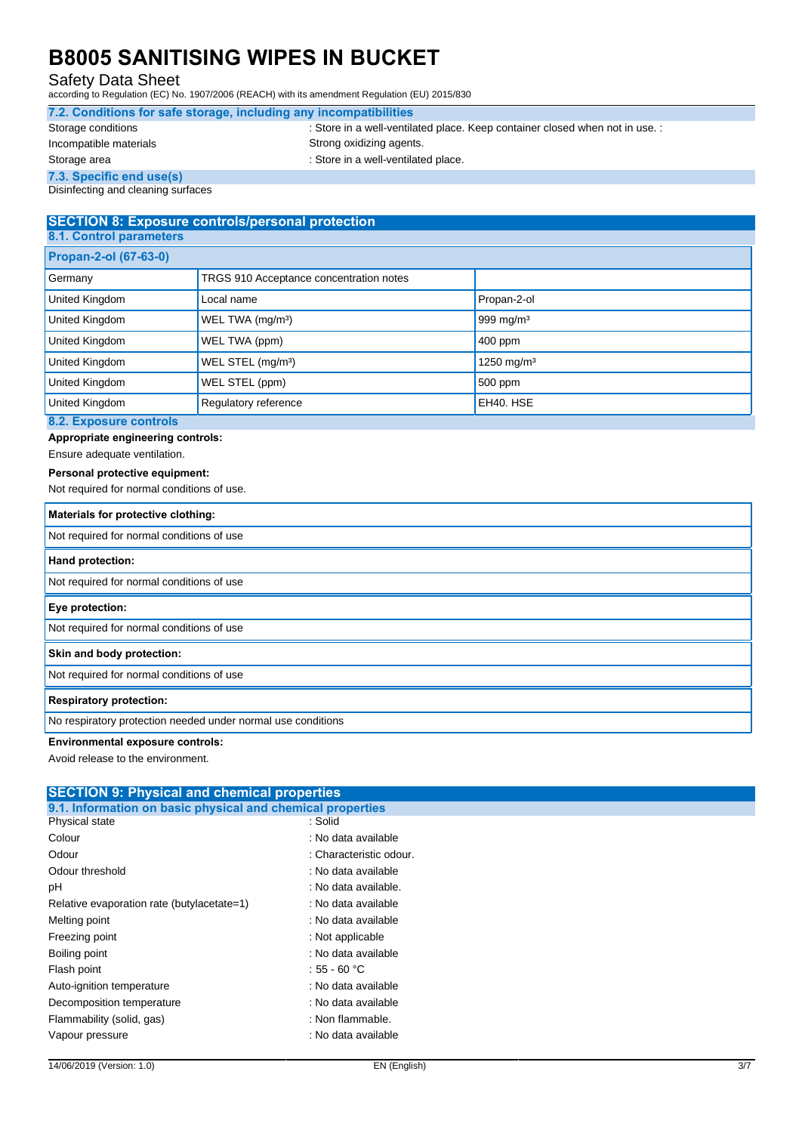### Safety Data Sheet

according to Regulation (EC) No. 1907/2006 (REACH) with its amendment Regulation (EU) 2015/830

| 7.2. Conditions for safe storage, including any incompatibilities |                                                                              |
|-------------------------------------------------------------------|------------------------------------------------------------------------------|
| Storage conditions                                                | : Store in a well-ventilated place. Keep container closed when not in use. : |
| Incompatible materials                                            | Strong oxidizing agents.                                                     |
| Storage area                                                      | : Store in a well-ventilated place.                                          |
| 7.3. Specific end use(s)                                          |                                                                              |
| Dioinfooting and elegating ourfaces                               |                                                                              |

Disinfecting and cleaning surfaces

### **SECTION 8: Exposure controls/personal protection**

| <b>8.1. Control parameters</b> |                                         |                        |
|--------------------------------|-----------------------------------------|------------------------|
| <b>Propan-2-ol (67-63-0)</b>   |                                         |                        |
| Germany                        | TRGS 910 Acceptance concentration notes |                        |
| United Kingdom                 | Local name                              | Propan-2-ol            |
| United Kingdom                 | WEL TWA (mg/m <sup>3</sup> )            | 999 mg/m $3$           |
| United Kingdom                 | WEL TWA (ppm)                           | 400 ppm                |
| United Kingdom                 | WEL STEL (mg/m <sup>3</sup> )           | 1250 mg/m <sup>3</sup> |
| United Kingdom                 | WEL STEL (ppm)                          | 500 ppm                |
| United Kingdom                 | Regulatory reference                    | EH40. HSE              |
| 8.2. Exposure controls         |                                         |                        |

#### **Appropriate engineering controls:**

Ensure adequate ventilation.

#### **Personal protective equipment:**

Not required for normal conditions of use.

| Materials for protective clothing:                           |
|--------------------------------------------------------------|
| Not required for normal conditions of use                    |
| <b>Hand protection:</b>                                      |
| Not required for normal conditions of use                    |
| Eye protection:                                              |
| Not required for normal conditions of use                    |
| Skin and body protection:                                    |
| Not required for normal conditions of use                    |
| <b>Respiratory protection:</b>                               |
| No respiratory protection needed under normal use conditions |

#### **Environmental exposure controls:**

Avoid release to the environment.

| <b>SECTION 9: Physical and chemical properties</b>         |  |  |
|------------------------------------------------------------|--|--|
| 9.1. Information on basic physical and chemical properties |  |  |
| : Solid                                                    |  |  |
| : No data available                                        |  |  |
| : Characteristic odour.                                    |  |  |
| : No data available                                        |  |  |
| : No data available.                                       |  |  |
| : No data available                                        |  |  |
| : No data available                                        |  |  |
| : Not applicable                                           |  |  |
| : No data available                                        |  |  |
| : 55 - 60 °C                                               |  |  |
| : No data available                                        |  |  |
| : No data available                                        |  |  |
| : Non flammable.                                           |  |  |
| : No data available                                        |  |  |
|                                                            |  |  |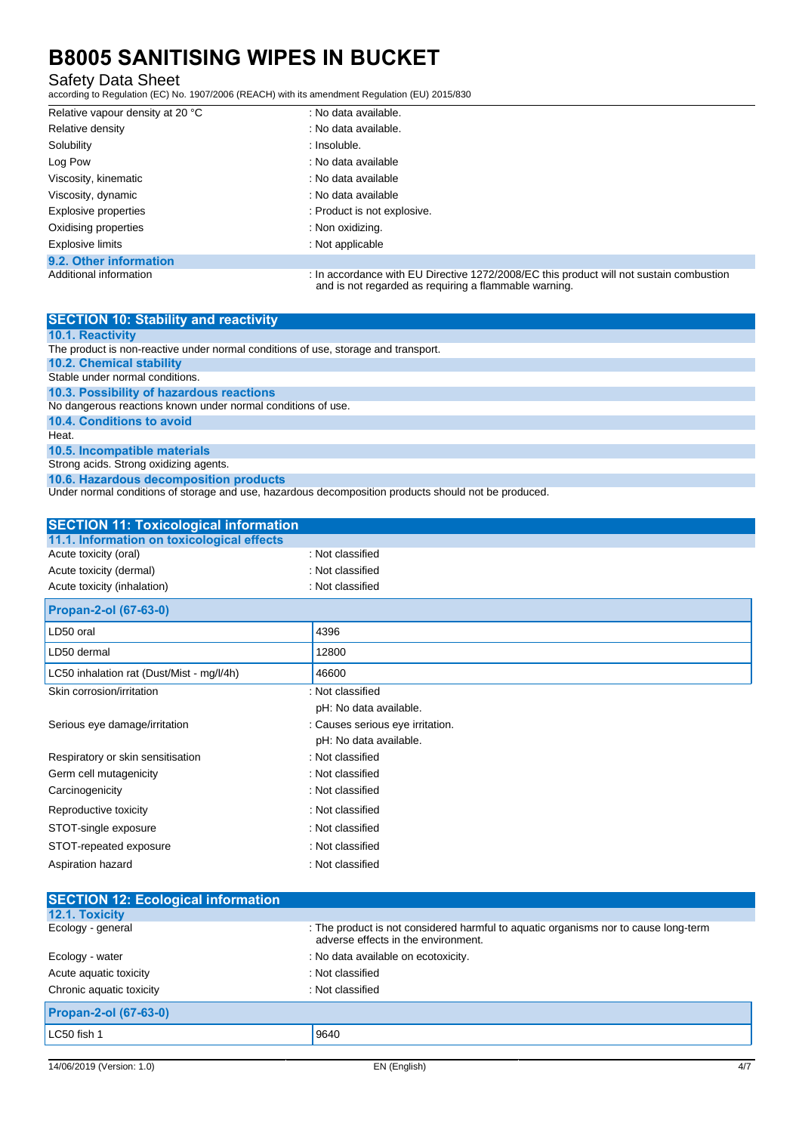### Safety Data Sheet

according to Regulation (EC) No. 1907/2006 (REACH) with its amendment Regulation (EU) 2015/830

| Relative vapour density at 20 °C | : No data available.                                                                                                                             |
|----------------------------------|--------------------------------------------------------------------------------------------------------------------------------------------------|
| Relative density                 | : No data available.                                                                                                                             |
| Solubility                       | : Insoluble.                                                                                                                                     |
| Log Pow                          | : No data available                                                                                                                              |
| Viscosity, kinematic             | : No data available                                                                                                                              |
| Viscosity, dynamic               | : No data available                                                                                                                              |
| Explosive properties             | : Product is not explosive.                                                                                                                      |
| Oxidising properties             | : Non oxidizing.                                                                                                                                 |
| Explosive limits                 | : Not applicable                                                                                                                                 |
| 9.2. Other information           |                                                                                                                                                  |
| Additional information           | : In accordance with EU Directive 1272/2008/EC this product will not sustain combustion<br>and is not regarded as requiring a flammable warning. |

| <b>SECTION 10: Stability and reactivity</b>                                                          |
|------------------------------------------------------------------------------------------------------|
| <b>10.1. Reactivity</b>                                                                              |
| The product is non-reactive under normal conditions of use, storage and transport.                   |
| <b>10.2. Chemical stability</b>                                                                      |
| Stable under normal conditions.                                                                      |
| 10.3. Possibility of hazardous reactions                                                             |
| No dangerous reactions known under normal conditions of use.                                         |
| 10.4. Conditions to avoid                                                                            |
| Heat.                                                                                                |
| 10.5. Incompatible materials                                                                         |
| Strong acids. Strong oxidizing agents.                                                               |
| 10.6. Hazardous decomposition products                                                               |
| Under normal conditions of storage and use, hazardous decomposition products should not be produced. |

| <b>SECTION 11: Toxicological information</b> |                                  |
|----------------------------------------------|----------------------------------|
| 11.1. Information on toxicological effects   |                                  |
| Acute toxicity (oral)                        | : Not classified                 |
| Acute toxicity (dermal)                      | : Not classified                 |
| Acute toxicity (inhalation)                  | : Not classified                 |
| <b>Propan-2-ol (67-63-0)</b>                 |                                  |
| LD50 oral                                    | 4396                             |
| LD50 dermal                                  | 12800                            |
| LC50 inhalation rat (Dust/Mist - mg/l/4h)    | 46600                            |
| Skin corrosion/irritation                    | : Not classified                 |
|                                              | pH: No data available.           |
| Serious eye damage/irritation                | : Causes serious eye irritation. |
|                                              | pH: No data available.           |
| Respiratory or skin sensitisation            | : Not classified                 |
| Germ cell mutagenicity                       | : Not classified                 |
| Carcinogenicity                              | : Not classified                 |
| Reproductive toxicity                        | : Not classified                 |
| STOT-single exposure                         | : Not classified                 |
| STOT-repeated exposure                       | : Not classified                 |
| Aspiration hazard                            | : Not classified                 |

| <b>SECTION 12: Ecological information</b> |                                                                                                                            |
|-------------------------------------------|----------------------------------------------------------------------------------------------------------------------------|
| <b>12.1. Toxicity</b>                     |                                                                                                                            |
| Ecology - general                         | : The product is not considered harmful to aquatic organisms nor to cause long-term<br>adverse effects in the environment. |
| Ecology - water                           | : No data available on ecotoxicity.                                                                                        |
| Acute aquatic toxicity                    | : Not classified                                                                                                           |
| Chronic aquatic toxicity                  | : Not classified                                                                                                           |
| <b>Propan-2-ol (67-63-0)</b>              |                                                                                                                            |
| LC50 fish 1                               | 9640                                                                                                                       |
|                                           |                                                                                                                            |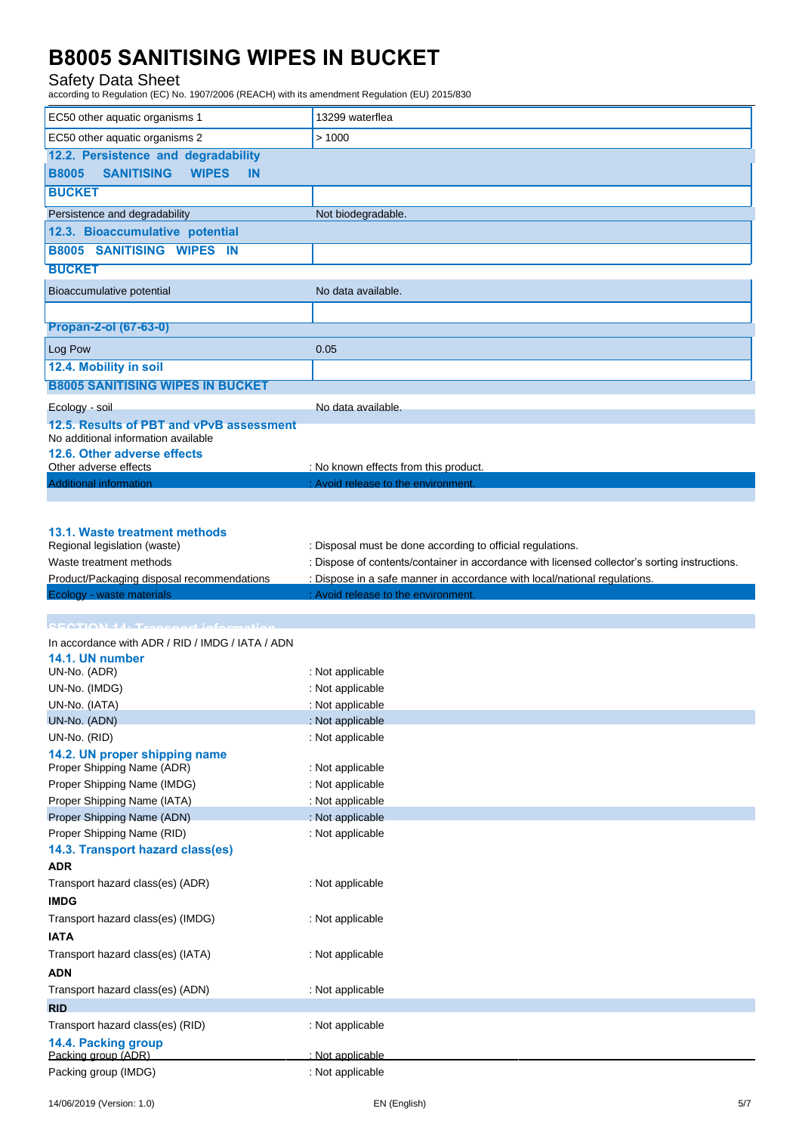### Safety Data Sheet

according to Regulation (EC) No. 1907/2006 (REACH) with its amendment Regulation (EU) 2015/830

| EC50 other aquatic organisms 1                          | 13299 waterflea                                                                                                                                             |
|---------------------------------------------------------|-------------------------------------------------------------------------------------------------------------------------------------------------------------|
| EC50 other aquatic organisms 2                          | >1000                                                                                                                                                       |
| 12.2. Persistence and degradability                     |                                                                                                                                                             |
| <b>B8005</b><br><b>SANITISING</b><br><b>WIPES</b><br>IN |                                                                                                                                                             |
| <b>BUCKET</b>                                           |                                                                                                                                                             |
|                                                         |                                                                                                                                                             |
| Persistence and degradability                           | Not biodegradable.                                                                                                                                          |
| 12.3. Bioaccumulative potential                         |                                                                                                                                                             |
| <b>B8005 SANITISING WIPES IN</b>                        |                                                                                                                                                             |
| <b>BUCKET</b>                                           |                                                                                                                                                             |
| Bioaccumulative potential                               | No data available.                                                                                                                                          |
|                                                         |                                                                                                                                                             |
| <b>Propan-2-ol (67-63-0)</b>                            |                                                                                                                                                             |
|                                                         |                                                                                                                                                             |
| Log Pow                                                 | 0.05                                                                                                                                                        |
| 12.4. Mobility in soil                                  |                                                                                                                                                             |
| <b>B8005 SANITISING WIPES IN BUCKET</b>                 |                                                                                                                                                             |
| Ecology - soil                                          | No data available.                                                                                                                                          |
| 12.5. Results of PBT and vPvB assessment                |                                                                                                                                                             |
| No additional information available                     |                                                                                                                                                             |
| 12.6. Other adverse effects                             |                                                                                                                                                             |
| Other adverse effects                                   | : No known effects from this product.                                                                                                                       |
| <b>Additional information</b>                           | : Avoid release to the environment.                                                                                                                         |
|                                                         |                                                                                                                                                             |
|                                                         |                                                                                                                                                             |
| 13.1. Waste treatment methods                           |                                                                                                                                                             |
| Regional legislation (waste)<br>Waste treatment methods | : Disposal must be done according to official regulations.<br>: Dispose of contents/container in accordance with licensed collector's sorting instructions. |
|                                                         |                                                                                                                                                             |
| Product/Packaging disposal recommendations              | : Dispose in a safe manner in accordance with local/national regulations.                                                                                   |
|                                                         |                                                                                                                                                             |
| Ecology - waste materials                               | : Avoid release to the environment.                                                                                                                         |
| <b>COTION ALL TURNS AND LIER</b>                        |                                                                                                                                                             |
|                                                         |                                                                                                                                                             |
| In accordance with ADR / RID / IMDG / IATA / ADN        |                                                                                                                                                             |
| 14.1. UN number<br>UN-No. (ADR)                         | : Not applicable                                                                                                                                            |
| UN-No. (IMDG)                                           | : Not applicable                                                                                                                                            |
| UN-No. (IATA)                                           | : Not applicable                                                                                                                                            |
| UN-No. (ADN)                                            | : Not applicable                                                                                                                                            |
| UN-No. (RID)                                            | : Not applicable                                                                                                                                            |
| 14.2. UN proper shipping name                           |                                                                                                                                                             |
| Proper Shipping Name (ADR)                              | : Not applicable                                                                                                                                            |
| Proper Shipping Name (IMDG)                             | : Not applicable                                                                                                                                            |
| Proper Shipping Name (IATA)                             | : Not applicable                                                                                                                                            |
| Proper Shipping Name (ADN)                              | : Not applicable                                                                                                                                            |
| Proper Shipping Name (RID)                              | : Not applicable                                                                                                                                            |
| 14.3. Transport hazard class(es)                        |                                                                                                                                                             |
| <b>ADR</b>                                              |                                                                                                                                                             |
| Transport hazard class(es) (ADR)                        | : Not applicable                                                                                                                                            |
| <b>IMDG</b>                                             |                                                                                                                                                             |
| Transport hazard class(es) (IMDG)                       | : Not applicable                                                                                                                                            |
| <b>IATA</b>                                             |                                                                                                                                                             |
| Transport hazard class(es) (IATA)                       | : Not applicable                                                                                                                                            |
|                                                         |                                                                                                                                                             |
| <b>ADN</b>                                              |                                                                                                                                                             |
| Transport hazard class(es) (ADN)                        | : Not applicable                                                                                                                                            |
| <b>RID</b>                                              |                                                                                                                                                             |
| Transport hazard class(es) (RID)                        | : Not applicable                                                                                                                                            |
| 14.4. Packing group<br>Packing group (ADR)              | : Not applicable                                                                                                                                            |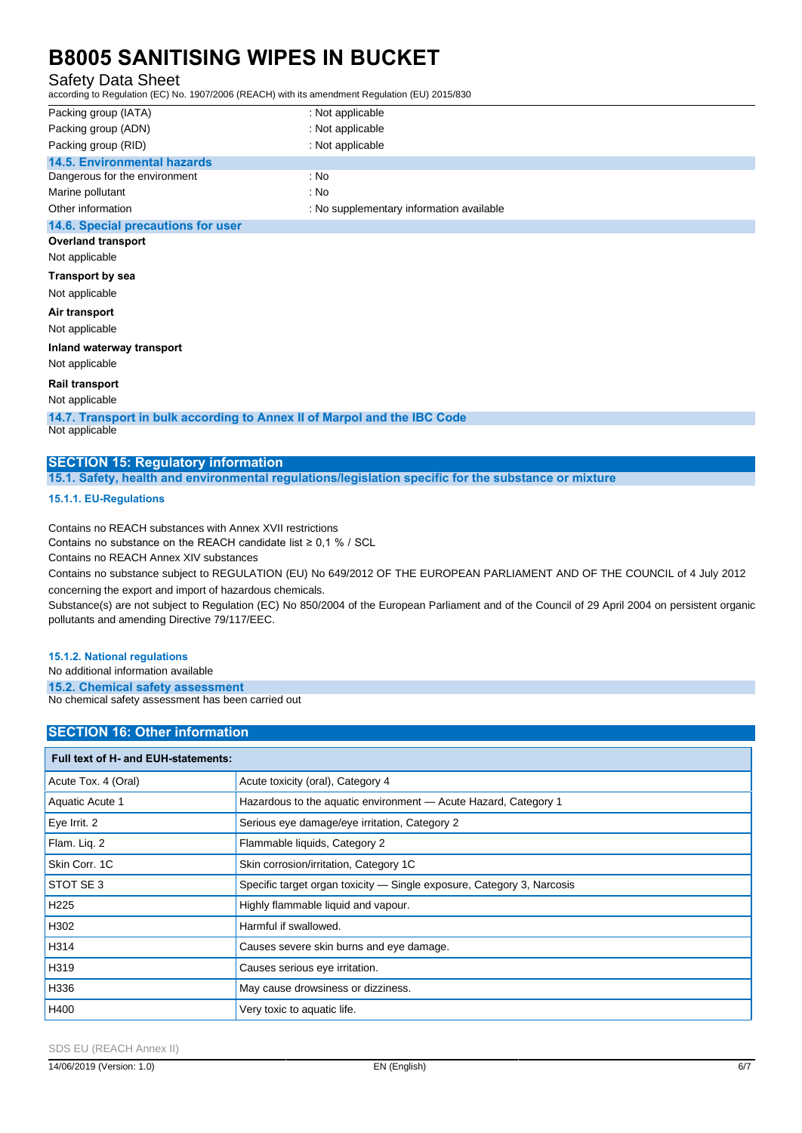### Safety Data Sheet

according to Regulation (EC) No. 1907/2006 (REACH) with its amendment Regulation (EU) 2015/830

| according to Regulation (EC) No. 1907/2000 (REACH) With its amendment Regulation (EO) 2013/030 |                                          |  |
|------------------------------------------------------------------------------------------------|------------------------------------------|--|
| Packing group (IATA)                                                                           | : Not applicable                         |  |
| Packing group (ADN)                                                                            | : Not applicable                         |  |
| Packing group (RID)                                                                            | : Not applicable                         |  |
| <b>14.5. Environmental hazards</b>                                                             |                                          |  |
| Dangerous for the environment                                                                  | : No                                     |  |
| Marine pollutant                                                                               | : No                                     |  |
| Other information                                                                              | : No supplementary information available |  |
| 14.6. Special precautions for user                                                             |                                          |  |
| <b>Overland transport</b>                                                                      |                                          |  |
| Not applicable                                                                                 |                                          |  |
| <b>Transport by sea</b>                                                                        |                                          |  |
| Not applicable                                                                                 |                                          |  |
| Air transport                                                                                  |                                          |  |
| Not applicable                                                                                 |                                          |  |
| Inland waterway transport                                                                      |                                          |  |
| Not applicable                                                                                 |                                          |  |
| <b>Rail transport</b>                                                                          |                                          |  |
| Not applicable                                                                                 |                                          |  |

**14.7. Transport in bulk according to Annex II of Marpol and the IBC Code** Not applicable

#### **SECTION 15: Regulatory information**

**15.1. Safety, health and environmental regulations/legislation specific for the substance or mixture**

#### **15.1.1. EU-Regulations**

Contains no REACH substances with Annex XVII restrictions

Contains no substance on the REACH candidate list  $\geq 0.1$  % / SCL

Contains no REACH Annex XIV substances

Contains no substance subject to REGULATION (EU) No 649/2012 OF THE EUROPEAN PARLIAMENT AND OF THE COUNCIL of 4 July 2012 concerning the export and import of hazardous chemicals.

Substance(s) are not subject to Regulation (EC) No 850/2004 of the European Parliament and of the Council of 29 April 2004 on persistent organic pollutants and amending Directive 79/117/EEC.

#### **15.1.2. National regulations**

No additional information available

**15.2. Chemical safety assessment** No chemical safety assessment has been carried out

#### **SECTION 16: Other information**

| <b>Full text of H- and EUH-statements:</b> |                                                                        |  |
|--------------------------------------------|------------------------------------------------------------------------|--|
| Acute Tox. 4 (Oral)                        | Acute toxicity (oral), Category 4                                      |  |
| Aquatic Acute 1                            | Hazardous to the aquatic environment - Acute Hazard, Category 1        |  |
| Eye Irrit. 2                               | Serious eye damage/eye irritation, Category 2                          |  |
| Flam. Liq. 2                               | Flammable liquids, Category 2                                          |  |
| Skin Corr. 1C                              | Skin corrosion/irritation, Category 1C                                 |  |
| <b>STOT SE 3</b>                           | Specific target organ toxicity - Single exposure, Category 3, Narcosis |  |
| H <sub>225</sub>                           | Highly flammable liquid and vapour.                                    |  |
| H302                                       | Harmful if swallowed.                                                  |  |
| H314                                       | Causes severe skin burns and eye damage.                               |  |
| H319                                       | Causes serious eye irritation.                                         |  |
| H336                                       | May cause drowsiness or dizziness.                                     |  |
| H400                                       | Very toxic to aquatic life.                                            |  |